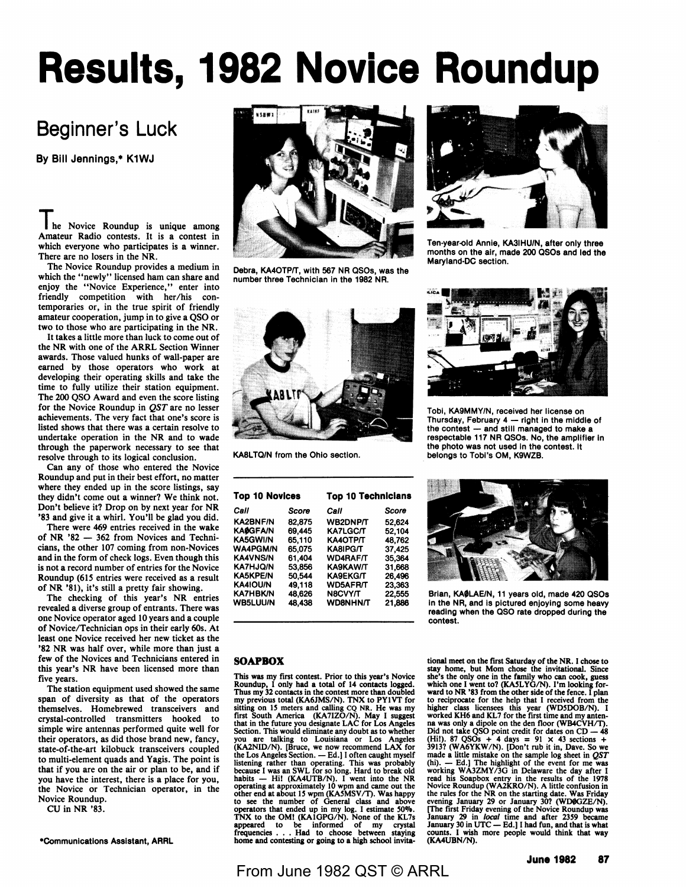# **Results, 1982 Novice Roundup**

# Beginner's Luck

**By Bill** Jennings,• K1WJ

**The** Novice Roundup is unique among Amateur Radio contests. It is a contest in which everyone who participates is a winner. There are no losers in the NR.

The Novice Roundup provides a medium in which the "newly" licensed ham can share and enjoy the "Novice Experience," enter into friendly competition with her/his contemporaries or, in the true spirit of friendly amateur cooperation, jump in to give a QSO or two to those who are participating in the NR.

It takes a little more than luck to come out of the NR with one of the ARRL Section Winner awards. Those valued hunks of wall-paper are earned by those operators who work at developing their operating skills and take the time to fully utilize their station equipment. The 200 QSO Award and even the score listing for the Novice Roundup in *QST* are no lesser achievements. The very fact that one's score is listed shows that there was a certain resolve to undertake operation in the NR and to wade through the paperwork necessary to see that resolve through to its logical conclusion.

Can any of those who entered the Novice Roundup and put in their best effort, no matter where they ended up in the score listings, say they didn't come out a winner? We think not. Don't believe it? Drop on by next year for **NR**  '83 and give it a whirl. You'll be glad you did.

There were 469 entries received in the **wake**  of NR '82 - 362 from Novices and Technicians, the other 107 coming from non-Novices and in the form of check logs. Even though this is not a record number of entries for the Novice Roundup (615 entries were received as **a** result of NR '81), it's still a pretty fair showing.

The checking of this year's **NR** entries revealed a diverse group of entrants. There was one Novice operator aged 10 years and a couple of Novice/Technician ops in their early 60s. At least one Novice received her new ticket as the **'82 NR** was half over, while more than just a few of the Novices and Technicians entered in this year's **NR** have been licensed more than five years.

The station equipment used showed the same span of diversity as that of the operators themselves. Homebrewed transceivers and crystal-controlled transmitters hooked to simple wire antennas performed quite well for their operators, as did those brand new, fancy, state-of-the-art kilobuck transceivers coupled to multi-element quads and **Yagis.** The point is that if you are on the air or plan to be, and if you have the interest, there is a place for you, the Novice or Technician operator, in the Novice Roundup.

CU in NR '83.

•Communications Assistant, **ARRL** 



Debra, KA4OTP/T, with 567 NR QSOs, was the number three Technician in the 1982 NA.



KABLTQ/N from the Ohio section.

| <b>Top 10 Novices</b> |        | <b>Top 10 Technicians</b> |        |  |  |  |
|-----------------------|--------|---------------------------|--------|--|--|--|
| Call                  | Score  | Call                      | Score  |  |  |  |
| <b>KA2BNF/N</b>       | 82,875 | WB2DNP/T                  | 52,624 |  |  |  |
| <b>KAØGFA/N</b>       | 69,445 | <b>KA7LGC/T</b>           | 52.104 |  |  |  |
| <b>KA5GWI/N</b>       | 65.110 | КА4ОТРЛ                   | 48.762 |  |  |  |
| <b>WA4PGM/N</b>       | 65.075 | KA8IPG/T                  | 37,425 |  |  |  |
| <b>KA4VNS/N</b>       | 61.404 | <b>WD4RAF/T</b>           | 35,364 |  |  |  |
| <b>KA7HJQ/N</b>       | 53.856 | KA9KAW/T                  | 31.668 |  |  |  |
| <b>KA5KPE/N</b>       | 50.544 | <b>KA9EKG/T</b>           | 26.496 |  |  |  |
| <b>KA4IOU/N</b>       | 49.118 | <b>WD5AFR/T</b>           | 23,363 |  |  |  |
| <b>KA7HBK/N</b>       | 48.626 | N8CVY/T                   | 22,555 |  |  |  |
| <b>WB5LUU/N</b>       | 48.438 | <b>WD8NHN/T</b>           | 21,886 |  |  |  |

#### **SOAPBOX**

This was my first contest. Prior to this year's Novice Roundup, I only had a total of 14 contacts logged. Thus my 32 contacts in the contest more than doubled my previous total (KA6JMS/N). TNX to PY1VT for<br>sitting on 15 meters and calling CQ NR. He was my<br>first South America (KA7IZO/N). May I suggest<br>that in the future you designate LAC for Los Angeles<br>Section. This would elimin you are talking to Louisiana or Los Angeles (KA2NID/N). [Bruce, we now recommend LAX for the Los Angeles Section. — Ed.] I often caught myself<br>intering rather than operating. This was probably<br>because I was an SWL for so long. Hard to break old<br>habits — Hi! (KA4UTB/N). I went into the NR<br>other end at aporoxima



Ten-year-old Annie, KA3IHU/N, after only three months on the air, made 200 QSOs and led the Maryland-DC section.



Tobi, KA9MMY/N, received her license on Thursday, February  $4 -$  right in the middle of the contest  $-$  and still managed to make a respectable 117 NR QSOs. No, the amplifier In the photo was not used in the contest. It belongs to Tobi's OM, K9WZB.



Brian, KAØLAE/N, 11 years old, made 420 QSOs in the NR, and is pictured enjoying some heavy reading when the QSO rate dropped during the contest.

tional meet on the first Saturday of the NR. I chose to stay home, but Mom chose the invitational. Since<br>she's the only one in the family who can cook, guess<br>which one I went to? (KA5LYG/N). I'm looking for-<br>ward to NR '83 from the other side of the fence. I plan to reciprocate for the help that I received from the higher class licensees this year (WD5DOB/N). I worked KH6 and KL7 for the first time and my antenna was only a dipole on the den floor (WB4CVH/T).<br>Did not take QSO point credit for dates on CD - 48<br>(Hil). 87 QSOs + 4 days = 91 × 43 sections +<br>3913? (WA6YKW/N). [Don't rub it in, Dave. So we<br>made a little mistake on th (hi). — Ed.] The highlight of the event for me was<br>working WA3ZMY/3G in Delaware the day after I<br>read his Soapbox entry in the results of the 1978<br>Novice Roundup (WA2KRO/N). A little confusion in<br>the rules for the NR on th [The first Friday evening of the Novice Roundup was January 29 in *local* time and after 2359 became January 30 in *local* time and after 2359 became counts. I wish more people would think that way (KA4UBN/N).

## From June 1982 QST © ARRL